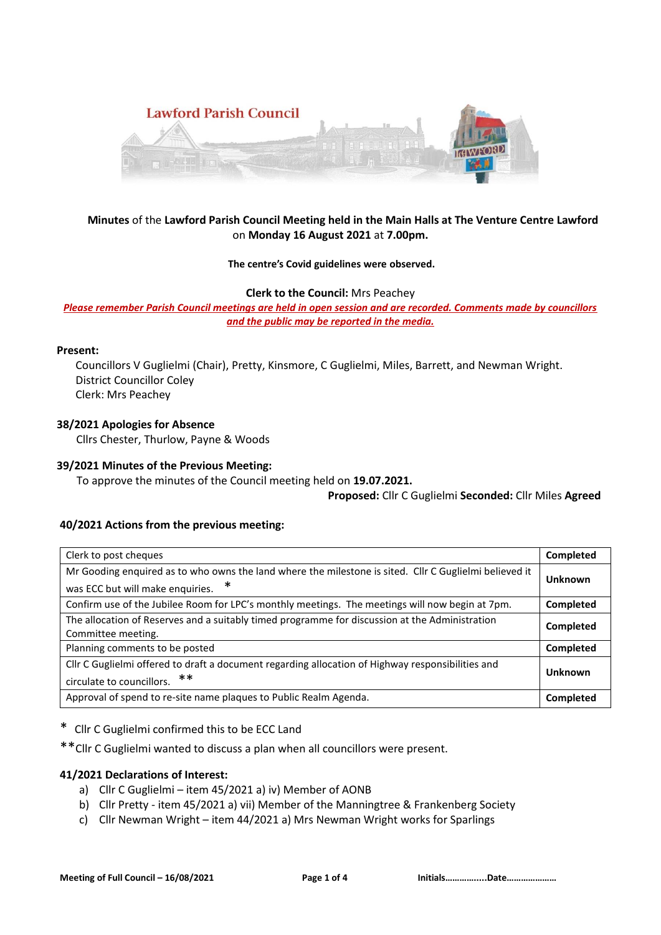

# **Minutes** of the **Lawford Parish Council Meeting held in the Main Halls at The Venture Centre Lawford**  on **Monday 16 August 2021** at **7.00pm.**

## **The centre's Covid guidelines were observed.**

**Clerk to the Council:** Mrs Peachey

*Please remember Parish Council meetings are held in open session and are recorded. Comments made by councillors and the public may be reported in the media.* 

## **Present:**

Councillors V Guglielmi (Chair), Pretty, Kinsmore, C Guglielmi, Miles, Barrett, and Newman Wright. District Councillor Coley Clerk: Mrs Peachey

## **38/2021 Apologies for Absence**

Cllrs Chester, Thurlow, Payne & Woods

## **39/2021 Minutes of the Previous Meeting:**

To approve the minutes of the Council meeting held on **19.07.2021.**

**Proposed:** Cllr C Guglielmi **Seconded:** Cllr Miles **Agreed**

## **40/2021 Actions from the previous meeting:**

| Clerk to post cheques                                                                                  | Completed |
|--------------------------------------------------------------------------------------------------------|-----------|
| Mr Gooding enquired as to who owns the land where the milestone is sited. Cllr C Guglielmi believed it | Unknown   |
| ∗<br>was ECC but will make enquiries.                                                                  |           |
| Confirm use of the Jubilee Room for LPC's monthly meetings. The meetings will now begin at 7pm.        | Completed |
| The allocation of Reserves and a suitably timed programme for discussion at the Administration         | Completed |
| Committee meeting.                                                                                     |           |
| Planning comments to be posted                                                                         | Completed |
| Cllr C Guglielmi offered to draft a document regarding allocation of Highway responsibilities and      |           |
| circulate to councillors. **                                                                           | Unknown   |
| Approval of spend to re-site name plaques to Public Realm Agenda.                                      | Completed |

\* Cllr C Guglielmi confirmed this to be ECC Land

\*\*Cllr C Guglielmi wanted to discuss a plan when all councillors were present.

### **41/2021 Declarations of Interest:**

- a) Cllr C Guglielmi item 45/2021 a) iv) Member of AONB
- b) Cllr Pretty item 45/2021 a) vii) Member of the Manningtree & Frankenberg Society
- c) Cllr Newman Wright item 44/2021 a) Mrs Newman Wright works for Sparlings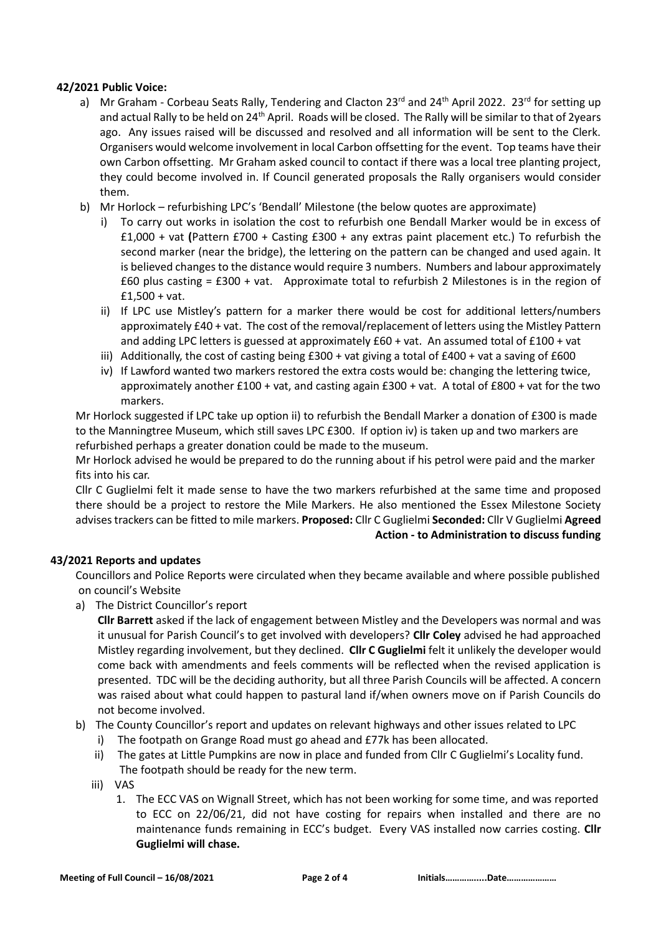# **42/2021 Public Voice:**

- a) Mr Graham Corbeau Seats Rally, Tendering and Clacton 23<sup>rd</sup> and 24<sup>th</sup> April 2022. 23<sup>rd</sup> for setting up and actual Rally to be held on 24<sup>th</sup> April. Roads will be closed. The Rally will be similar to that of 2years ago. Any issues raised will be discussed and resolved and all information will be sent to the Clerk. Organisers would welcome involvement in local Carbon offsetting for the event. Top teams have their own Carbon offsetting. Mr Graham asked council to contact if there was a local tree planting project, they could become involved in. If Council generated proposals the Rally organisers would consider them.
- b) Mr Horlock refurbishing LPC's 'Bendall' Milestone (the below quotes are approximate)
	- i) To carry out works in isolation the cost to refurbish one Bendall Marker would be in excess of £1,000 + vat **(**Pattern £700 + Casting £300 + any extras paint placement etc.) To refurbish the second marker (near the bridge), the lettering on the pattern can be changed and used again. It is believed changes to the distance would require 3 numbers. Numbers and labour approximately  $£60$  plus casting =  $£300 + vat$ . Approximate total to refurbish 2 Milestones is in the region of £1,500 + vat.
	- ii) If LPC use Mistley's pattern for a marker there would be cost for additional letters/numbers approximately £40 + vat. The cost of the removal/replacement of letters using the Mistley Pattern and adding LPC letters is guessed at approximately £60 + vat. An assumed total of £100 + vat
	- iii) Additionally, the cost of casting being  $£300 + \text{vat}$  giving a total of  $£400 + \text{vat}$  a saving of  $£600$
	- iv) If Lawford wanted two markers restored the extra costs would be: changing the lettering twice, approximately another £100 + vat, and casting again £300 + vat. A total of £800 + vat for the two markers.

Mr Horlock suggested if LPC take up option ii) to refurbish the Bendall Marker a donation of £300 is made to the Manningtree Museum, which still saves LPC £300. If option iv) is taken up and two markers are refurbished perhaps a greater donation could be made to the museum.

Mr Horlock advised he would be prepared to do the running about if his petrol were paid and the marker fits into his car.

Cllr C Guglielmi felt it made sense to have the two markers refurbished at the same time and proposed there should be a project to restore the Mile Markers. He also mentioned the Essex Milestone Society advises trackers can be fitted to mile markers. **Proposed:** Cllr C Guglielmi **Seconded:** Cllr V Guglielmi **Agreed Action - to Administration to discuss funding**

## **43/2021 Reports and updates**

Councillors and Police Reports were circulated when they became available and where possible published on council's Website

a) The District Councillor's report

**Cllr Barrett** asked if the lack of engagement between Mistley and the Developers was normal and was it unusual for Parish Council's to get involved with developers? **Cllr Coley** advised he had approached Mistley regarding involvement, but they declined. **Cllr C Guglielmi** felt it unlikely the developer would come back with amendments and feels comments will be reflected when the revised application is presented. TDC will be the deciding authority, but all three Parish Councils will be affected. A concern was raised about what could happen to pastural land if/when owners move on if Parish Councils do not become involved.

- b) The County Councillor's report and updates on relevant highways and other issues related to LPC
	- i) The footpath on Grange Road must go ahead and £77k has been allocated.
	- ii) The gates at Little Pumpkins are now in place and funded from Cllr C Guglielmi's Locality fund. The footpath should be ready for the new term.
	- iii) VAS
		- 1. The ECC VAS on Wignall Street, which has not been working for some time, and was reported to ECC on 22/06/21, did not have costing for repairs when installed and there are no maintenance funds remaining in ECC's budget. Every VAS installed now carries costing. **Cllr Guglielmi will chase.**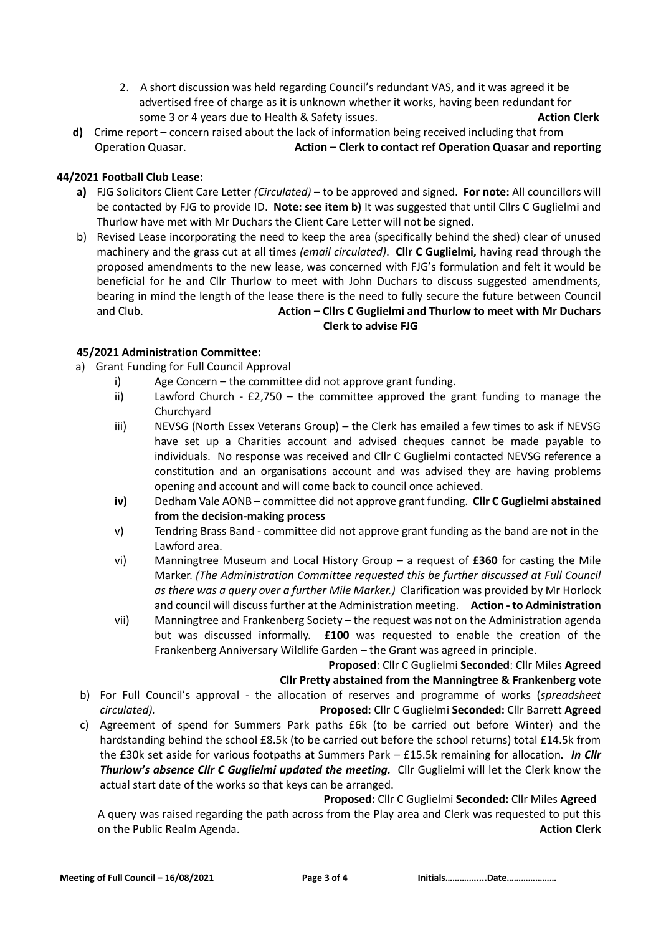- 2. A short discussion was held regarding Council's redundant VAS, and it was agreed it be advertised free of charge as it is unknown whether it works, having been redundant for some 3 or 4 years due to Health & Safety issues. **Action Clerk**
- **d)** Crime report concern raised about the lack of information being received including that from Operation Quasar. **Action – Clerk to contact ref Operation Quasar and reporting**

# **44/2021 Football Club Lease:**

- **a)** FJG Solicitors Client Care Letter *(Circulated)* to be approved and signed. **For note:** All councillors will be contacted by FJG to provide ID. **Note: see item b)** It was suggested that until Cllrs C Guglielmi and Thurlow have met with Mr Duchars the Client Care Letter will not be signed.
- b) Revised Lease incorporating the need to keep the area (specifically behind the shed) clear of unused machinery and the grass cut at all times *(email circulated)*. **Cllr C Guglielmi,** having read through the proposed amendments to the new lease, was concerned with FJG's formulation and felt it would be beneficial for he and Cllr Thurlow to meet with John Duchars to discuss suggested amendments, bearing in mind the length of the lease there is the need to fully secure the future between Council and Club. **Action – Cllrs C Guglielmi and Thurlow to meet with Mr Duchars Clerk to advise FJG**

# **45/2021 Administration Committee:**

- a) Grant Funding for Full Council Approval
	- i) Age Concern the committee did not approve grant funding.
	- ii) Lawford Church  $£2,750 -$  the committee approved the grant funding to manage the **Churchyard**
	- iii) NEVSG (North Essex Veterans Group) the Clerk has emailed a few times to ask if NEVSG have set up a Charities account and advised cheques cannot be made payable to individuals. No response was received and Cllr C Guglielmi contacted NEVSG reference a constitution and an organisations account and was advised they are having problems opening and account and will come back to council once achieved.
	- **iv)** Dedham Vale AONB committee did not approve grant funding. **Cllr C Guglielmi abstained from the decision-making process**
	- v) Tendring Brass Band committee did not approve grant funding as the band are not in the Lawford area.
	- vi) Manningtree Museum and Local History Group a request of **£360** for casting the Mile Marker. *(The Administration Committee requested this be further discussed at Full Council as there was a query over a further Mile Marker.)* Clarification was provided by Mr Horlock and council will discuss further at the Administration meeting. **Action - to Administration**
	- vii) Manningtree and Frankenberg Society the request was not on the Administration agenda but was discussed informally. **£100** was requested to enable the creation of the Frankenberg Anniversary Wildlife Garden – the Grant was agreed in principle.

## **Proposed**: Cllr C Guglielmi **Seconded**: Cllr Miles **Agreed**

## **Cllr Pretty abstained from the Manningtree & Frankenberg vote**

- b) For Full Council's approval the allocation of reserves and programme of works (*spreadsheet circulated).* **Proposed:** Cllr C Guglielmi **Seconded:** Cllr Barrett **Agreed**
- c) Agreement of spend for Summers Park paths £6k (to be carried out before Winter) and the hardstanding behind the school £8.5k (to be carried out before the school returns) total £14.5k from the £30k set aside for various footpaths at Summers Park – £15.5k remaining for allocation*. In Cllr Thurlow's absence Cllr C Guglielmi updated the meeting.* Cllr Guglielmi will let the Clerk know the actual start date of the works so that keys can be arranged.

 **Proposed:** Cllr C Guglielmi **Seconded:** Cllr Miles **Agreed** A query was raised regarding the path across from the Play area and Clerk was requested to put this on the Public Realm Agenda. **Action Clerk**